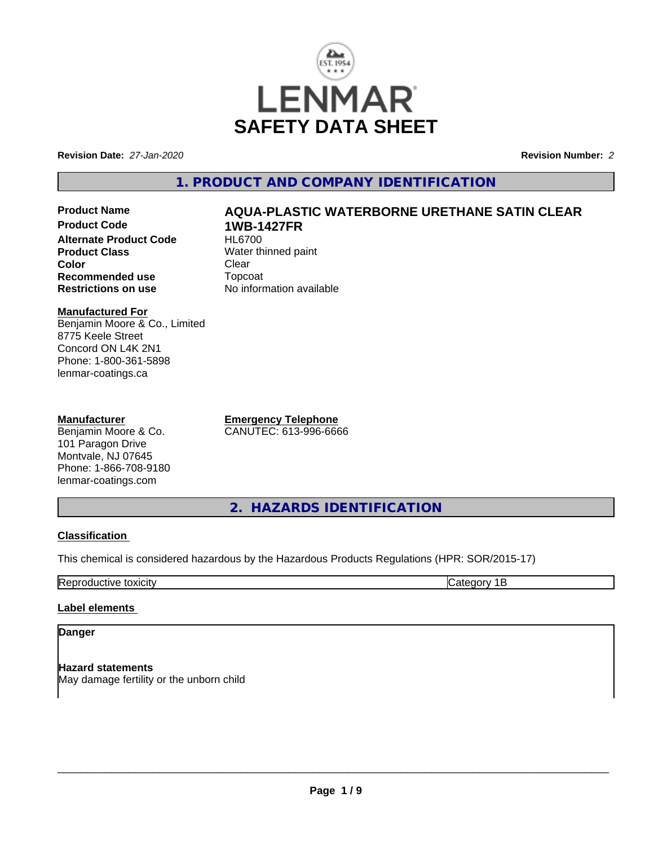

**Revision Date:** *27-Jan-2020* **Revision Number:** *2*

# **1. PRODUCT AND COMPANY IDENTIFICATION**

**Product Name AQUA-PLASTIC WATERBORNE URETHANE SATIN CLEAR Product Code 1WB-1427FR**<br>Alternate Product Code HL6700 **Alternate Product Code Product Class**<br> **Color**<br>
Clear
Clear
Clear
Clear
Clear
Clear
Clear
Clear
Clear
Clear
Clear
Clear
Clear
Clear
Clear
Clear
Clear
Clear
Clear
Clear
Clear
Clear
Clear
Clear
Clear
Clear
Clear
Clear
Clear
Clear
Clear
Clear
Clea **Color** Clear Clear **Recommended use** Topcoat<br> **Restrictions on use** No inform

#### **Manufactured For** Benjamin Moore & Co., Limited 8775 Keele Street Concord ON L4K 2N1 Phone: 1-800-361-5898 lenmar-coatings.ca

#### **Manufacturer**

Benjamin Moore & Co. 101 Paragon Drive Montvale, NJ 07645 Phone: 1-866-708-9180 lenmar-coatings.com

**Emergency Telephone** CANUTEC: 613-996-6666

**No information available** 

**2. HAZARDS IDENTIFICATION**

## **Classification**

This chemical is considered hazardous by the Hazardous Products Regulations (HPR: SOR/2015-17)

Reproductive toxicity Category 1B

## **Label elements**

# **Danger**

**Hazard statements** May damage fertility or the unborn child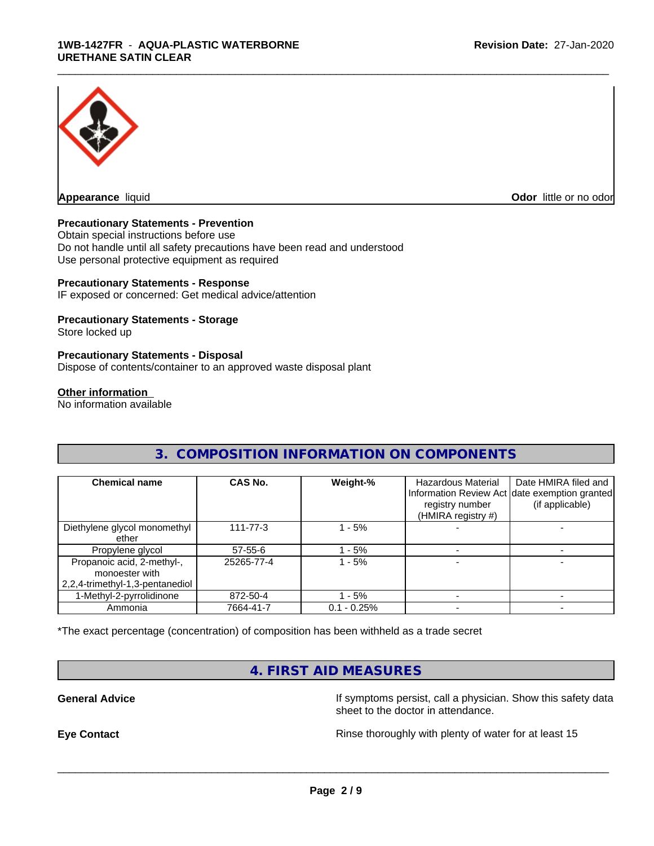

**Appearance** liquid **Odor in the original of the original of the original of the original of the original of the original of the original of the original of the original of the original of the original of the original of t** 

#### **Precautionary Statements - Prevention**

Obtain special instructions before use Do not handle until all safety precautions have been read and understood Use personal protective equipment as required

#### **Precautionary Statements - Response**

IF exposed or concerned: Get medical advice/attention

#### **Precautionary Statements - Storage**

Store locked up

#### **Precautionary Statements - Disposal**

Dispose of contents/container to an approved waste disposal plant

#### **Other information**

No information available

## **3. COMPOSITION INFORMATION ON COMPONENTS**

\_\_\_\_\_\_\_\_\_\_\_\_\_\_\_\_\_\_\_\_\_\_\_\_\_\_\_\_\_\_\_\_\_\_\_\_\_\_\_\_\_\_\_\_\_\_\_\_\_\_\_\_\_\_\_\_\_\_\_\_\_\_\_\_\_\_\_\_\_\_\_\_\_\_\_\_\_\_\_\_\_\_\_\_\_\_\_\_\_\_\_\_\_

| <b>Chemical name</b>                                                              | CAS No.        | Weight-%      | <b>Hazardous Material</b><br>registry number<br>(HMIRA registry #) | Date HMIRA filed and<br>Information Review Act date exemption granted<br>(if applicable) |
|-----------------------------------------------------------------------------------|----------------|---------------|--------------------------------------------------------------------|------------------------------------------------------------------------------------------|
| Diethylene glycol monomethyl<br>ether                                             | $111 - 77 - 3$ | $-5%$         |                                                                    |                                                                                          |
| Propylene glycol                                                                  | 57-55-6        | - 5%          |                                                                    |                                                                                          |
| Propanoic acid, 2-methyl-,<br>monoester with<br>  2,2,4-trimethyl-1,3-pentanediol | 25265-77-4     | - 5%          |                                                                    |                                                                                          |
| 1-Methyl-2-pyrrolidinone                                                          | 872-50-4       | $-5%$         |                                                                    |                                                                                          |
| Ammonia                                                                           | 7664-41-7      | $0.1 - 0.25%$ |                                                                    |                                                                                          |

\*The exact percentage (concentration) of composition has been withheld as a trade secret

# **4. FIRST AID MEASURES**

**General Advice If symptoms persist, call a physician. Show this safety data** If symptoms persist, call a physician. Show this safety data sheet to the doctor in attendance.

**Eye Contact Exercise 20 All 20 All 20 All 20 All 20 All 20 All 20 All 20 All 20 All 20 All 20 All 20 All 20 All 20 All 20 All 20 All 20 All 20 All 20 All 20 All 20 All 20 All 20 All 20 All 20 All 20 All 20 All 20 All 20**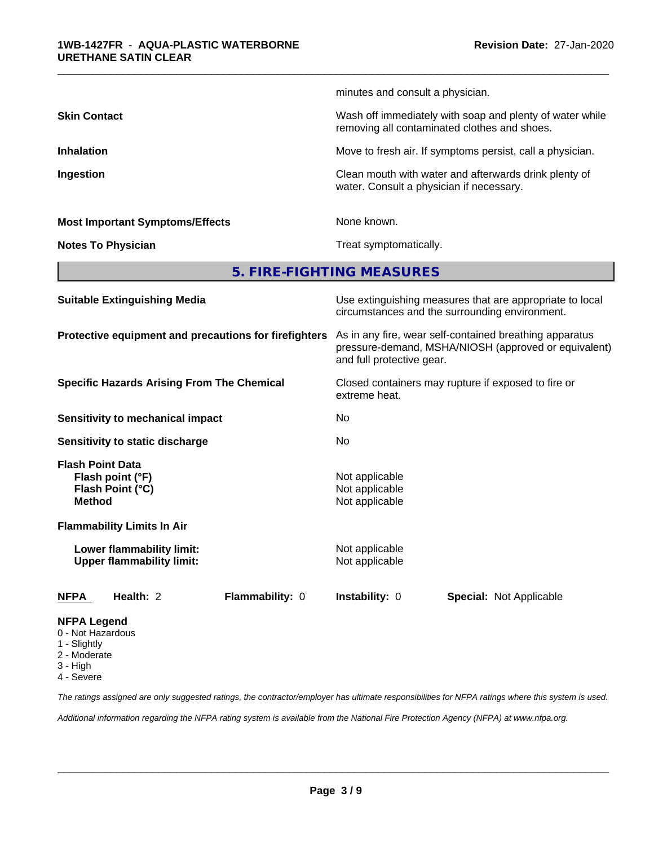|                                        | minutes and consult a physician.                                                                         |
|----------------------------------------|----------------------------------------------------------------------------------------------------------|
| <b>Skin Contact</b>                    | Wash off immediately with soap and plenty of water while<br>removing all contaminated clothes and shoes. |
| <b>Inhalation</b>                      | Move to fresh air. If symptoms persist, call a physician.                                                |
| Ingestion                              | Clean mouth with water and afterwards drink plenty of<br>water. Consult a physician if necessary.        |
| <b>Most Important Symptoms/Effects</b> | None known.                                                                                              |
| <b>Notes To Physician</b>              | Treat symptomatically.                                                                                   |
|                                        |                                                                                                          |

\_\_\_\_\_\_\_\_\_\_\_\_\_\_\_\_\_\_\_\_\_\_\_\_\_\_\_\_\_\_\_\_\_\_\_\_\_\_\_\_\_\_\_\_\_\_\_\_\_\_\_\_\_\_\_\_\_\_\_\_\_\_\_\_\_\_\_\_\_\_\_\_\_\_\_\_\_\_\_\_\_\_\_\_\_\_\_\_\_\_\_\_\_

**5. FIRE-FIGHTING MEASURES**

| <b>Suitable Extinguishing Media</b>                                              | Use extinguishing measures that are appropriate to local<br>circumstances and the surrounding environment.                                   |
|----------------------------------------------------------------------------------|----------------------------------------------------------------------------------------------------------------------------------------------|
| Protective equipment and precautions for firefighters                            | As in any fire, wear self-contained breathing apparatus<br>pressure-demand, MSHA/NIOSH (approved or equivalent)<br>and full protective gear. |
| <b>Specific Hazards Arising From The Chemical</b>                                | Closed containers may rupture if exposed to fire or<br>extreme heat.                                                                         |
| Sensitivity to mechanical impact                                                 | No                                                                                                                                           |
| Sensitivity to static discharge                                                  | No.                                                                                                                                          |
| <b>Flash Point Data</b><br>Flash point (°F)<br>Flash Point (°C)<br><b>Method</b> | Not applicable<br>Not applicable<br>Not applicable                                                                                           |
| <b>Flammability Limits In Air</b>                                                |                                                                                                                                              |
| Lower flammability limit:<br><b>Upper flammability limit:</b>                    | Not applicable<br>Not applicable                                                                                                             |
| Health: 2<br><b>NFPA</b><br>Flammability: 0                                      | <b>Instability: 0</b><br>Special: Not Applicable                                                                                             |
| <b>NFPA Legend</b><br>0 - Not Hazardous<br>1 - Slightly                          |                                                                                                                                              |

- 
- 2 Moderate
- 3 High

4 - Severe

*The ratings assigned are only suggested ratings, the contractor/employer has ultimate responsibilities for NFPA ratings where this system is used.*

*Additional information regarding the NFPA rating system is available from the National Fire Protection Agency (NFPA) at www.nfpa.org.*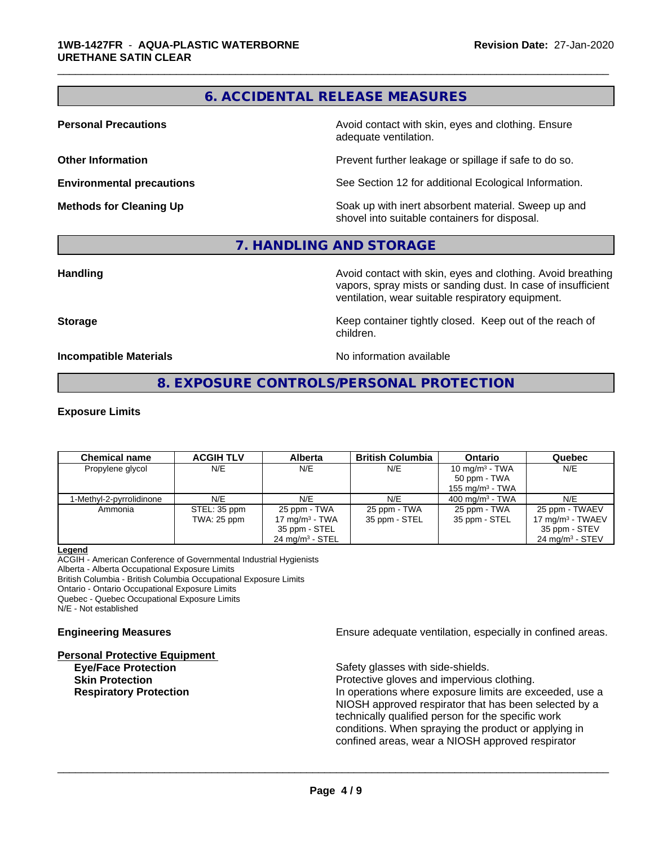# **6. ACCIDENTAL RELEASE MEASURES**

\_\_\_\_\_\_\_\_\_\_\_\_\_\_\_\_\_\_\_\_\_\_\_\_\_\_\_\_\_\_\_\_\_\_\_\_\_\_\_\_\_\_\_\_\_\_\_\_\_\_\_\_\_\_\_\_\_\_\_\_\_\_\_\_\_\_\_\_\_\_\_\_\_\_\_\_\_\_\_\_\_\_\_\_\_\_\_\_\_\_\_\_\_

**Personal Precautions Avoid contact with skin, eyes and clothing. Ensure** Avoid contact with skin, eyes and clothing. Ensure adequate ventilation.

**Other Information Determines According to the Prevent further leakage or spillage if safe to do so.** 

**Environmental precautions** See Section 12 for additional Ecological Information.

**Methods for Cleaning Up Example 20 Soak** up with inert absorbent material. Sweep up and shovel into suitable containers for disposal.

#### **7. HANDLING AND STORAGE**

**Handling Handling Avoid contact with skin, eyes and clothing. Avoid breathing** vapors, spray mists or sanding dust. In case of insufficient ventilation, wear suitable respiratory equipment.

**Storage Keep container tightly closed. Keep out of the reach of Keep** container tightly closed. Keep out of the reach of children.

**Incompatible Materials Incompatible Materials No information available** 

**8. EXPOSURE CONTROLS/PERSONAL PROTECTION**

#### **Exposure Limits**

| <b>Chemical name</b>     | <b>ACGIH TLV</b> | <b>Alberta</b>             | <b>British Columbia</b> | <b>Ontario</b>             | Quebec                        |
|--------------------------|------------------|----------------------------|-------------------------|----------------------------|-------------------------------|
| Propylene glycol         | N/E              | N/E                        | N/E                     | 10 mg/m $3$ - TWA          | N/E                           |
|                          |                  |                            |                         | 50 ppm - TWA               |                               |
|                          |                  |                            |                         | 155 mg/m $3$ - TWA         |                               |
| 1-Methyl-2-pyrrolidinone | N/E              | N/E                        | N/E                     | $400 \text{ ma/m}^3$ - TWA | N/E                           |
| Ammonia                  | STEL: 35 ppm     | 25 ppm - TWA               | 25 ppm - TWA            | 25 ppm - TWA               | 25 ppm - TWAEV                |
|                          | TWA: 25 ppm      | 17 mg/m $3$ - TWA          | 35 ppm - STEL           | 35 ppm - STEL              | 17 mg/m $3$ - TWAEV           |
|                          |                  | 35 ppm - STEL              |                         |                            | 35 ppm - STEV                 |
|                          |                  | $24 \text{ mg/m}^3$ - STEL |                         |                            | 24 mg/m <sup>3</sup> - $STEV$ |

#### **Legend**

ACGIH - American Conference of Governmental Industrial Hygienists Alberta - Alberta Occupational Exposure Limits British Columbia - British Columbia Occupational Exposure Limits Ontario - Ontario Occupational Exposure Limits Quebec - Quebec Occupational Exposure Limits N/E - Not established

**Personal Protective Equipment Eye/Face Protection** Safety glasses with side-shields.

**Engineering Measures Engineering Measures Engineering Measures Ensure adequate ventilation, especially in confined areas.** 

**Skin Protection Protection Protective gloves and impervious clothing. Respiratory Protection In operations where exposure limits are exceeded, use a** NIOSH approved respirator that has been selected by a technically qualified person for the specific work conditions. When spraying the product or applying in confined areas, wear a NIOSH approved respirator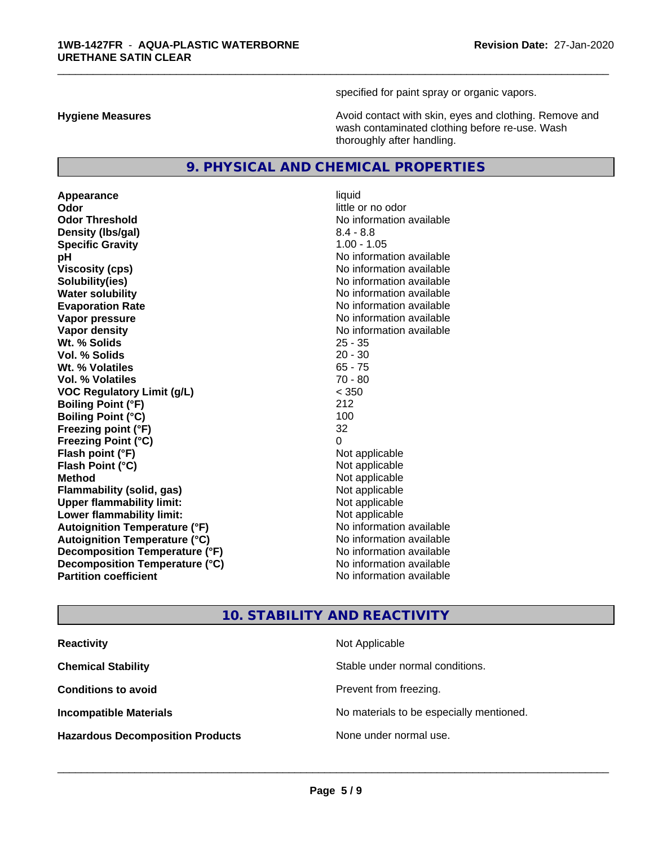specified for paint spray or organic vapors.

\_\_\_\_\_\_\_\_\_\_\_\_\_\_\_\_\_\_\_\_\_\_\_\_\_\_\_\_\_\_\_\_\_\_\_\_\_\_\_\_\_\_\_\_\_\_\_\_\_\_\_\_\_\_\_\_\_\_\_\_\_\_\_\_\_\_\_\_\_\_\_\_\_\_\_\_\_\_\_\_\_\_\_\_\_\_\_\_\_\_\_\_\_

**Hygiene Measures Avoid contact with skin, eyes and clothing. Remove and Avoid contact with skin, eyes and clothing. Remove and Avoid contact with skin, eyes and clothing. Remove and** wash contaminated clothing before re-use. Wash thoroughly after handling.

#### **9. PHYSICAL AND CHEMICAL PROPERTIES**

**Appearance** liquid **Odor** little or no odor **Odor Threshold** No information available **Density (lbs/gal)** 8.4 - 8.8 **Specific Gravity** 1.00 - 1.05 **pH**  $\blacksquare$ **Viscosity (cps)** No information available **Solubility(ies)** No information available **Water solubility** No information available **Evaporation Rate Evaporation Rate No information available Vapor pressure** No information available **No information available Vapor density No information available No information available Wt. % Solids** 25 - 35 **Vol. % Solids Wt. % Volatiles** 65 - 75 **Vol. % Volatiles** 70 - 80 **VOC Regulatory Limit (g/L)** < 350 **Boiling Point (°F)** 212 **Boiling Point**  $(^{\circ}C)$  100 **Freezing point (°F)** 32 **Freezing Point (°C)** 0 **Flash point (°F)** Not applicable **Flash Point (°C)** Not applicable **Method** Not applicable<br> **Flammability (solid, gas)** Not applicable Not applicable **Flammability** (solid, gas) **Upper flammability limit:** Not applicable **Lower flammability limit:**<br> **Autoignition Temperature (°F)** Not applicable havailable **Autoignition Temperature (°F) Autoignition Temperature (°C)** No information available **Decomposition Temperature (°F)** No information available **Decomposition Temperature (°C)**<br> **Partition coefficient**<br> **Partition coefficient**<br> **No** information available

# **No information available**

# **10. STABILITY AND REACTIVITY**

| <b>Reactivity</b>                       | Not Applicable                           |
|-----------------------------------------|------------------------------------------|
| <b>Chemical Stability</b>               | Stable under normal conditions.          |
| <b>Conditions to avoid</b>              | Prevent from freezing.                   |
| <b>Incompatible Materials</b>           | No materials to be especially mentioned. |
| <b>Hazardous Decomposition Products</b> | None under normal use.                   |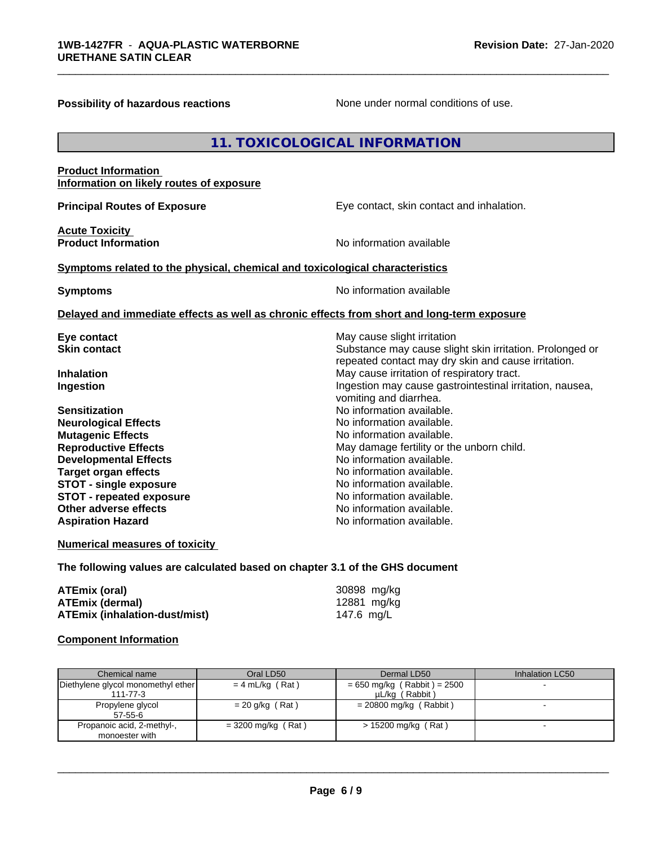**Possibility of hazardous reactions** None under normal conditions of use.

# **11. TOXICOLOGICAL INFORMATION**

#### **Product Information Information on likely routes of exposure**

**Acute Toxicity** 

**Principal Routes of Exposure Exposure** Eye contact, skin contact and inhalation.

**Product Information Information Information No information available** 

\_\_\_\_\_\_\_\_\_\_\_\_\_\_\_\_\_\_\_\_\_\_\_\_\_\_\_\_\_\_\_\_\_\_\_\_\_\_\_\_\_\_\_\_\_\_\_\_\_\_\_\_\_\_\_\_\_\_\_\_\_\_\_\_\_\_\_\_\_\_\_\_\_\_\_\_\_\_\_\_\_\_\_\_\_\_\_\_\_\_\_\_\_

#### **<u>Symptoms related to the physical, chemical and toxicological characteristics</u>**

**Symptoms** No information available

#### **Delayed and immediate effects as well as chronic effects from short and long-term exposure**

| Eye contact                     | May cause slight irritation                              |
|---------------------------------|----------------------------------------------------------|
| <b>Skin contact</b>             | Substance may cause slight skin irritation. Prolonged or |
|                                 | repeated contact may dry skin and cause irritation.      |
| <b>Inhalation</b>               | May cause irritation of respiratory tract.               |
| Ingestion                       | Ingestion may cause gastrointestinal irritation, nausea, |
|                                 | vomiting and diarrhea.                                   |
| <b>Sensitization</b>            | No information available.                                |
| <b>Neurological Effects</b>     | No information available.                                |
| <b>Mutagenic Effects</b>        | No information available.                                |
| <b>Reproductive Effects</b>     | May damage fertility or the unborn child.                |
| <b>Developmental Effects</b>    | No information available.                                |
| Target organ effects            | No information available.                                |
| <b>STOT - single exposure</b>   | No information available.                                |
| <b>STOT - repeated exposure</b> | No information available.                                |
| Other adverse effects           | No information available.                                |
| <b>Aspiration Hazard</b>        | No information available.                                |
|                                 |                                                          |

#### **Numerical measures of toxicity**

**The following values are calculated based on chapter 3.1 of the GHS document**

| ATEmix (oral)                        | 30898 mg/kg |
|--------------------------------------|-------------|
| <b>ATEmix (dermal)</b>               | 12881 mg/kg |
| <b>ATEmix (inhalation-dust/mist)</b> | 147.6 mg/L  |

#### **Component Information**

| Chemical name                                        | Oral LD50            | Dermal LD50                                     | Inhalation LC50 |
|------------------------------------------------------|----------------------|-------------------------------------------------|-----------------|
| Diethylene glycol monomethyl ether<br>$111 - 77 - 3$ | $= 4$ mL/kg (Rat)    | $= 650$ mg/kg (Rabbit) = 2500<br>µL/kg (Rabbit) |                 |
| Propylene glycol<br>$57 - 55 - 6$                    | $= 20$ g/kg (Rat)    | $= 20800$ mg/kg (Rabbit)                        |                 |
| Propanoic acid, 2-methyl-,<br>monoester with         | $=$ 3200 mg/kg (Rat) | $> 15200$ mg/kg (Rat)                           |                 |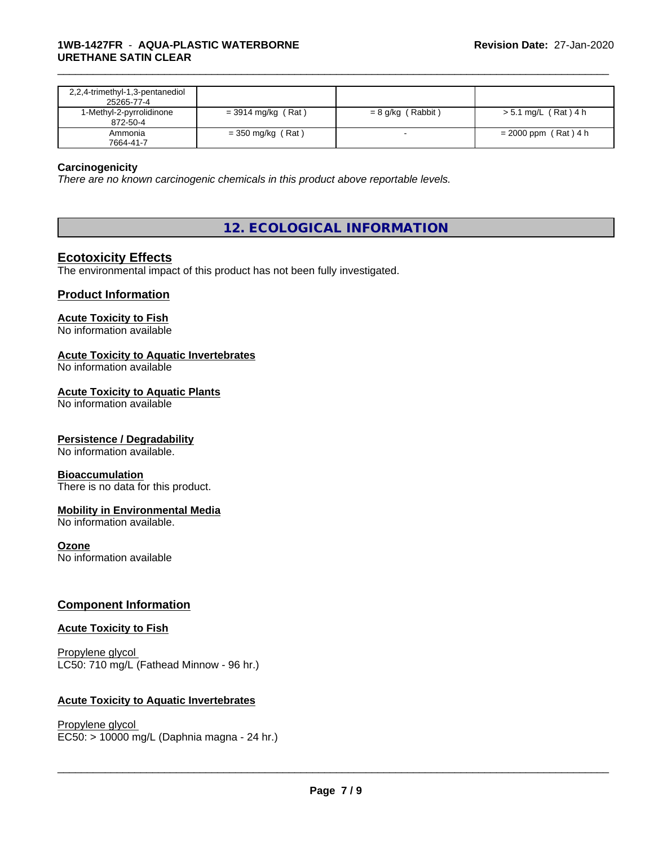| 2,2,4-trimethyl-1,3-pentanediol<br>25265-77-4 |                      |                   |                        |
|-----------------------------------------------|----------------------|-------------------|------------------------|
| 1-Methyl-2-pyrrolidinone<br>872-50-4          | $=$ 3914 mg/kg (Rat) | = 8 g/kg (Rabbit) | > 5.1 mg/L (Rat) 4 h   |
| Ammonia<br>7664-41-7                          | $=$ 350 mg/kg (Rat)  |                   | $= 2000$ ppm (Rat) 4 h |

\_\_\_\_\_\_\_\_\_\_\_\_\_\_\_\_\_\_\_\_\_\_\_\_\_\_\_\_\_\_\_\_\_\_\_\_\_\_\_\_\_\_\_\_\_\_\_\_\_\_\_\_\_\_\_\_\_\_\_\_\_\_\_\_\_\_\_\_\_\_\_\_\_\_\_\_\_\_\_\_\_\_\_\_\_\_\_\_\_\_\_\_\_

#### **Carcinogenicity**

*There are no known carcinogenic chemicals in this product above reportable levels.*

# **12. ECOLOGICAL INFORMATION**

## **Ecotoxicity Effects**

The environmental impact of this product has not been fully investigated.

# **Product Information**

#### **Acute Toxicity to Fish**

No information available

#### **Acute Toxicity to Aquatic Invertebrates**

No information available

#### **Acute Toxicity to Aquatic Plants**

No information available

#### **Persistence / Degradability**

No information available.

#### **Bioaccumulation**

There is no data for this product.

## **Mobility in Environmental Media**

No information available.

#### **Ozone**

No information available

#### **Component Information**

#### **Acute Toxicity to Fish**

Propylene glycol LC50: 710 mg/L (Fathead Minnow - 96 hr.)

#### **Acute Toxicity to Aquatic Invertebrates**

Propylene glycol \_\_\_\_\_\_\_\_\_\_\_\_\_\_\_\_\_\_\_\_\_\_\_\_\_\_\_\_\_\_\_\_\_\_\_\_\_\_\_\_\_\_\_\_\_\_\_\_\_\_\_\_\_\_\_\_\_\_\_\_\_\_\_\_\_\_\_\_\_\_\_\_\_\_\_\_\_\_\_\_\_\_\_\_\_\_\_\_\_\_\_\_\_ EC50: > 10000 mg/L (Daphnia magna - 24 hr.)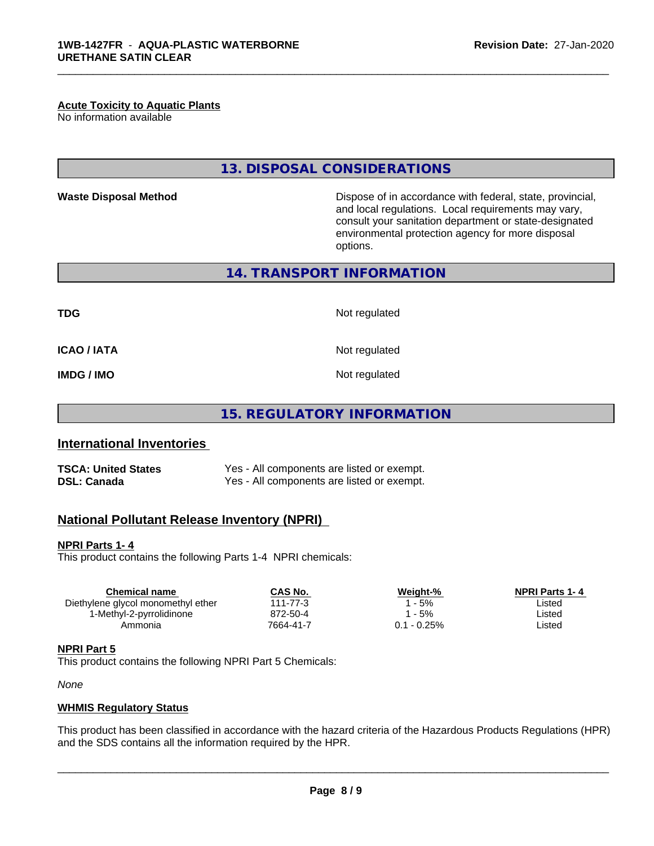#### **Acute Toxicity to Aquatic Plants**

No information available

# **13. DISPOSAL CONSIDERATIONS**

**Waste Disposal Method Dispose of in accordance with federal, state, provincial,** and local regulations. Local requirements may vary, consult your sanitation department or state-designated environmental protection agency for more disposal options.

**14. TRANSPORT INFORMATION**

**TDG** Not regulated

\_\_\_\_\_\_\_\_\_\_\_\_\_\_\_\_\_\_\_\_\_\_\_\_\_\_\_\_\_\_\_\_\_\_\_\_\_\_\_\_\_\_\_\_\_\_\_\_\_\_\_\_\_\_\_\_\_\_\_\_\_\_\_\_\_\_\_\_\_\_\_\_\_\_\_\_\_\_\_\_\_\_\_\_\_\_\_\_\_\_\_\_\_

**ICAO / IATA** Not regulated

**IMDG / IMO** Not regulated

**15. REGULATORY INFORMATION**

# **International Inventories**

| <b>TSCA: United States</b> | Yes - All components are listed or exempt. |
|----------------------------|--------------------------------------------|
| <b>DSL: Canada</b>         | Yes - All components are listed or exempt. |

# **National Pollutant Release Inventory (NPRI)**

#### **NPRI Parts 1- 4**

This product contains the following Parts 1-4 NPRI chemicals:

| Chemical name                      | CAS No.   | Weight-%      | <b>NPRI Parts 1-4</b> |  |
|------------------------------------|-----------|---------------|-----------------------|--|
| Diethylene glycol monomethyl ether | 111-77-3  | - 5%          | ∟isted                |  |
| 1-Methyl-2-pyrrolidinone           | 872-50-4  | - 5%          | ∟isted                |  |
| Ammonia                            | 7664-41-7 | $0.1 - 0.25%$ | ∟isted                |  |

# **NPRI Part 5**

This product contains the following NPRI Part 5 Chemicals:

*None*

#### **WHMIS Regulatory Status**

This product has been classified in accordance with the hazard criteria of the Hazardous Products Regulations (HPR) and the SDS contains all the information required by the HPR.